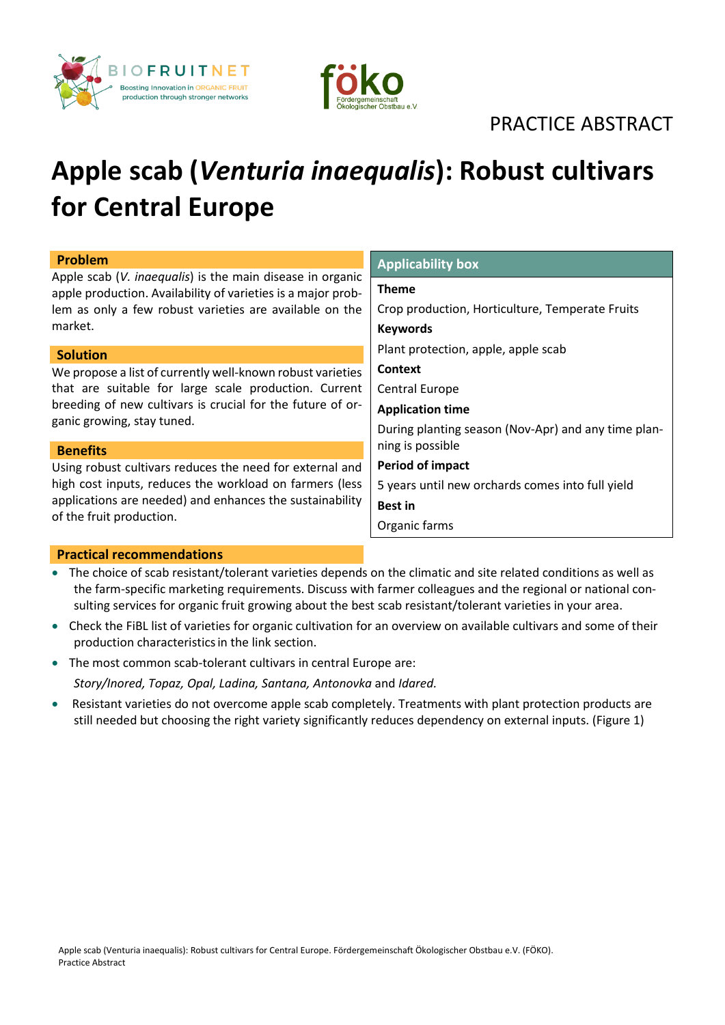



# PRACTICE ABSTRACT

# **Apple scab (***Venturia inaequalis***): Robust cultivars for Central Europe**

| <b>Problem</b>                                                                                                                                                                                  | <b>Applicability box</b>                            |
|-------------------------------------------------------------------------------------------------------------------------------------------------------------------------------------------------|-----------------------------------------------------|
| Apple scab (V. inaequalis) is the main disease in organic<br>apple production. Availability of varieties is a major prob-<br>lem as only a few robust varieties are available on the<br>market. | <b>Theme</b>                                        |
|                                                                                                                                                                                                 | Crop production, Horticulture, Temperate Fruits     |
|                                                                                                                                                                                                 | <b>Keywords</b>                                     |
| <b>Solution</b>                                                                                                                                                                                 | Plant protection, apple, apple scab                 |
| We propose a list of currently well-known robust varieties                                                                                                                                      | <b>Context</b>                                      |
| that are suitable for large scale production. Current                                                                                                                                           | <b>Central Europe</b>                               |
| breeding of new cultivars is crucial for the future of or-                                                                                                                                      | <b>Application time</b>                             |
| ganic growing, stay tuned.                                                                                                                                                                      | During planting season (Nov-Apr) and any time plan- |
| <b>Benefits</b>                                                                                                                                                                                 | ning is possible                                    |
| Using robust cultivars reduces the need for external and                                                                                                                                        | <b>Period of impact</b>                             |
| high cost inputs, reduces the workload on farmers (less<br>applications are needed) and enhances the sustainability<br>of the fruit production.                                                 | 5 years until new orchards comes into full yield    |
|                                                                                                                                                                                                 | <b>Best in</b>                                      |
|                                                                                                                                                                                                 | Organic farms                                       |

## **Practical recommendations**

- The choice of scab resistant/tolerant varieties depends on the climatic and site related conditions as well as the farm-specific marketing requirements. Discuss with farmer colleagues and the regional or national consulting services for organic fruit growing about the best scab resistant/tolerant varieties in your area.
- Check the FiBL [list of varieties for organic cultivation](https://www.fibl.org/fileadmin/documents/shop/1451-biokernobst.pdf?msclkid=8b7a6266cfa011ecbcfead05dabbf6b6) for an overview on available cultivars and some of their production characteristicsin the link section.
- The most common scab-tolerant cultivars in central Europe are:
	- *Story/Inored, Topaz, Opal, Ladina, Santana, Antonovka* and *Idared.*
- Resistant varieties do not overcome apple scab completely. Treatments with plant protection products are still needed but choosing the right variety significantly reduces dependency on external inputs. (Figure 1)